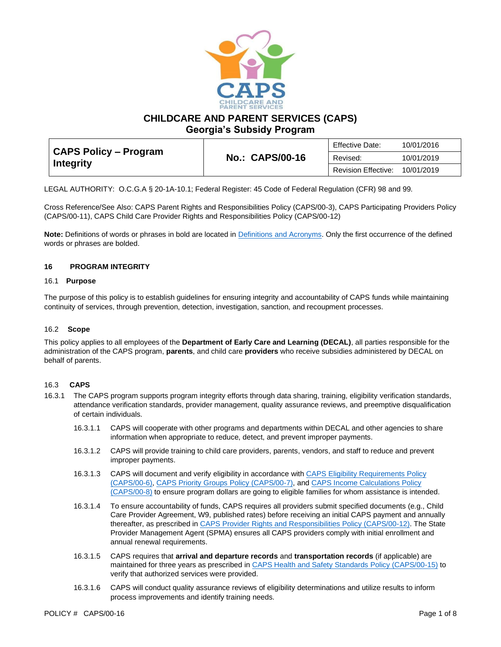

**CHILDCARE AND PARENT SERVICES (CAPS)**

**Georgia's Subsidy Program**

| CAPS Policy – Program<br><b>Integrity</b> |                        | Effective Date:     | 10/01/2016 |
|-------------------------------------------|------------------------|---------------------|------------|
|                                           | <b>No.: CAPS/00-16</b> | Revised:            | 10/01/2019 |
|                                           |                        | Revision Effective: | 10/01/2019 |

LEGAL AUTHORITY: O.C.G.A § 20-1A-10.1; Federal Register: 45 Code of Federal Regulation (CFR) 98 and 99.

Cross Reference/See Also: CAPS Parent Rights and Responsibilities Policy (CAPS/00-3), CAPS Participating Providers Policy (CAPS/00-11), CAPS Child Care Provider Rights and Responsibilities Policy (CAPS/00-12)

**Note:** Definitions of words or phrases in bold are located in [Definitions and Acronyms.](https://caps.decal.ga.gov/assets/downloads/CAPS/02-CAPS_Policy-Definitions%20and%20Acronyms.pdf) Only the first occurrence of the defined words or phrases are bolded.

### **16 PROGRAM INTEGRITY**

### 16.1 **Purpose**

The purpose of this policy is to establish guidelines for ensuring integrity and accountability of CAPS funds while maintaining continuity of services, through prevention, detection, investigation, sanction, and recoupment processes.

### 16.2 **Scope**

This policy applies to all employees of the **Department of Early Care and Learning (DECAL)**, all parties responsible for the administration of the CAPS program, **parents**, and child care **providers** who receive subsidies administered by DECAL on behalf of parents.

### 16.3 **CAPS**

- 16.3.1 The CAPS program supports program integrity efforts through data sharing, training, eligibility verification standards, attendance verification standards, provider management, quality assurance reviews, and preemptive disqualification of certain individuals.
	- 16.3.1.1 CAPS will cooperate with other programs and departments within DECAL and other agencies to share information when appropriate to reduce, detect, and prevent improper payments.
	- 16.3.1.2 CAPS will provide training to child care providers, parents, vendors, and staff to reduce and prevent improper payments.
	- 16.3.1.3 CAPS will document and verify eligibility in accordance with CAPS Eligibility [Requirements Policy](https://caps.decal.ga.gov/assets/downloads/CAPS/06-CAPS_Policy-Eligibility%20Requirements.pdf)  [\(CAPS/00-6\),](https://caps.decal.ga.gov/assets/downloads/CAPS/06-CAPS_Policy-Eligibility%20Requirements.pdf) [CAPS Priority Groups Policy \(CAPS/00-7\),](https://caps.decal.ga.gov/assets/downloads/CAPS/07-CAPS_Policy-Priority%20Groups.pdf) an[d CAPS Income Calculations Policy](https://caps.decal.ga.gov/assets/downloads/CAPS/08-CAPS_Policy-Income%20Calculations.pdf)  [\(CAPS/00-8\)](https://caps.decal.ga.gov/assets/downloads/CAPS/08-CAPS_Policy-Income%20Calculations.pdf) to ensure program dollars are going to eligible families for whom assistance is intended.
	- 16.3.1.4 To ensure accountability of funds, CAPS requires all providers submit specified documents (e.g., Child Care Provider Agreement, W9, published rates) before receiving an initial CAPS payment and annually thereafter, as prescribed i[n CAPS Provider Rights and Responsibilities Policy \(CAPS/00-12\).](https://caps.decal.ga.gov/assets/downloads/CAPS/12-CAPS_Policy-Child%20Care%20Provider%20Rights%20&%20Responsibilities.pdf) The State Provider Management Agent (SPMA) ensures all CAPS providers comply with initial enrollment and annual renewal requirements.
	- 16.3.1.5 CAPS requires that **arrival and departure records** and **transportation records** (if applicable) are maintained for three years as prescribed in [CAPS Health and Safety Standards Policy \(CAPS/00-15\)](https://caps.decal.ga.gov/assets/downloads/CAPS/15-CAPS_Policy-Health%20and%20Safety%20Standards.pdf) to verify that authorized services were provided.
	- 16.3.1.6 CAPS will conduct quality assurance reviews of eligibility determinations and utilize results to inform process improvements and identify training needs.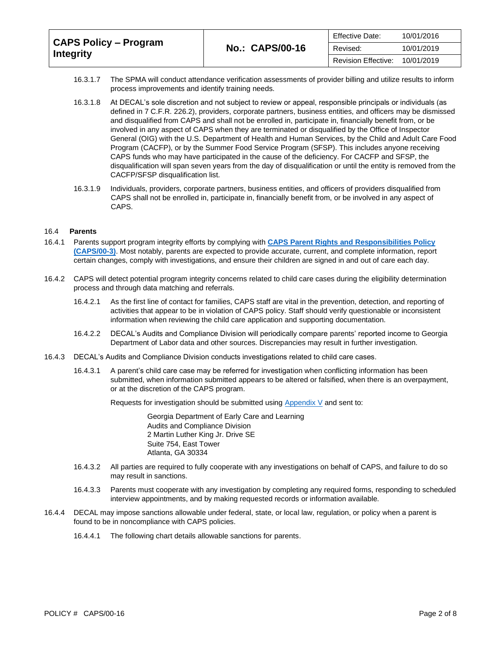| <b>CAPS Policy – Program</b><br>Integrity |                        | <b>Effective Date:</b> | 10/01/2016 |
|-------------------------------------------|------------------------|------------------------|------------|
|                                           | <b>No.: CAPS/00-16</b> | Revised:               | 10/01/2019 |
|                                           |                        | Revision Effective:    | 10/01/2019 |

- 16.3.1.7 The SPMA will conduct attendance verification assessments of provider billing and utilize results to inform process improvements and identify training needs.
- 16.3.1.8 At DECAL's sole discretion and not subject to review or appeal, responsible principals or individuals (as defined in 7 C.F.R. 226.2), providers, corporate partners, business entities, and officers may be dismissed and disqualified from CAPS and shall not be enrolled in, participate in, financially benefit from, or be involved in any aspect of CAPS when they are terminated or disqualified by the Office of Inspector General (OIG) with the U.S. Department of Health and Human Services, by the Child and Adult Care Food Program (CACFP), or by the Summer Food Service Program (SFSP). This includes anyone receiving CAPS funds who may have participated in the cause of the deficiency. For CACFP and SFSP, the disqualification will span seven years from the day of disqualification or until the entity is removed from the CACFP/SFSP disqualification list.
- 16.3.1.9 Individuals, providers, corporate partners, business entities, and officers of providers disqualified from CAPS shall not be enrolled in, participate in, financially benefit from, or be involved in any aspect of CAPS.

### 16.4 **Parents**

- 16.4.1 Parents support program integrity efforts by complying with **[CAPS Parent Rights and Responsibilities Policy](https://caps.decal.ga.gov/assets/downloads/CAPS/03-CAPS_Policy-Parental%20Authority%20Rights%20&%20Responsibilities.pdf)  [\(CAPS/00-3\)](https://caps.decal.ga.gov/assets/downloads/CAPS/03-CAPS_Policy-Parental%20Authority%20Rights%20&%20Responsibilities.pdf)**. Most notably, parents are expected to provide accurate, current, and complete information, report certain changes, comply with investigations, and ensure their children are signed in and out of care each day.
- 16.4.2 CAPS will detect potential program integrity concerns related to child care cases during the eligibility determination process and through data matching and referrals.
	- 16.4.2.1 As the first line of contact for families, CAPS staff are vital in the prevention, detection, and reporting of activities that appear to be in violation of CAPS policy. Staff should verify questionable or inconsistent information when reviewing the child care application and supporting documentation.
	- 16.4.2.2 DECAL's Audits and Compliance Division will periodically compare parents' reported income to Georgia Department of Labor data and other sources. Discrepancies may result in further investigation.
- 16.4.3 DECAL's Audits and Compliance Division conducts investigations related to child care cases.
	- 16.4.3.1 A parent's child care case may be referred for investigation when conflicting information has been submitted, when information submitted appears to be altered or falsified, when there is an overpayment, or at the discretion of the CAPS program.

Requests for investigation should be submitted using [Appendix V](https://caps.decal.ga.gov/assets/downloads/CAPS/AppendixV-Form%205667%20A&C%20Request%20for%20Parental%20Authority%20Investigation.pdf) and sent to:

Georgia Department of Early Care and Learning Audits and Compliance Division 2 Martin Luther King Jr. Drive SE Suite 754, East Tower Atlanta, GA 30334

- 16.4.3.2 All parties are required to fully cooperate with any investigations on behalf of CAPS, and failure to do so may result in sanctions.
- 16.4.3.3 Parents must cooperate with any investigation by completing any required forms, responding to scheduled interview appointments, and by making requested records or information available.
- 16.4.4 DECAL may impose sanctions allowable under federal, state, or local law, regulation, or policy when a parent is found to be in noncompliance with CAPS policies.
	- 16.4.4.1 The following chart details allowable sanctions for parents.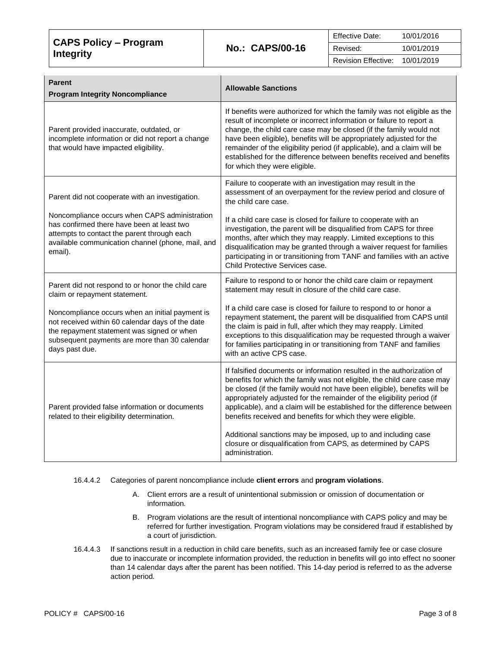| CAPS Policy – Program<br><b>Integrity</b> |                        | <b>Effective Date:</b> | 10/01/2016 |
|-------------------------------------------|------------------------|------------------------|------------|
|                                           | <b>No.: CAPS/00-16</b> | Revised:               | 10/01/2019 |
|                                           |                        | Revision Effective:    | 10/01/2019 |

| <b>Parent</b><br><b>Program Integrity Noncompliance</b>                                                                                                                                                              | <b>Allowable Sanctions</b>                                                                                                                                                                                                                                                                                                                                                                                                                                                           |
|----------------------------------------------------------------------------------------------------------------------------------------------------------------------------------------------------------------------|--------------------------------------------------------------------------------------------------------------------------------------------------------------------------------------------------------------------------------------------------------------------------------------------------------------------------------------------------------------------------------------------------------------------------------------------------------------------------------------|
| Parent provided inaccurate, outdated, or<br>incomplete information or did not report a change<br>that would have impacted eligibility.                                                                               | If benefits were authorized for which the family was not eligible as the<br>result of incomplete or incorrect information or failure to report a<br>change, the child care case may be closed (if the family would not<br>have been eligible), benefits will be appropriately adjusted for the<br>remainder of the eligibility period (if applicable), and a claim will be<br>established for the difference between benefits received and benefits<br>for which they were eligible. |
| Parent did not cooperate with an investigation.                                                                                                                                                                      | Failure to cooperate with an investigation may result in the<br>assessment of an overpayment for the review period and closure of<br>the child care case.                                                                                                                                                                                                                                                                                                                            |
| Noncompliance occurs when CAPS administration<br>has confirmed there have been at least two<br>attempts to contact the parent through each<br>available communication channel (phone, mail, and<br>email).           | If a child care case is closed for failure to cooperate with an<br>investigation, the parent will be disqualified from CAPS for three<br>months, after which they may reapply. Limited exceptions to this<br>disqualification may be granted through a waiver request for families<br>participating in or transitioning from TANF and families with an active<br>Child Protective Services case.                                                                                     |
| Parent did not respond to or honor the child care<br>claim or repayment statement.                                                                                                                                   | Failure to respond to or honor the child care claim or repayment<br>statement may result in closure of the child care case.                                                                                                                                                                                                                                                                                                                                                          |
| Noncompliance occurs when an initial payment is<br>not received within 60 calendar days of the date<br>the repayment statement was signed or when<br>subsequent payments are more than 30 calendar<br>days past due. | If a child care case is closed for failure to respond to or honor a<br>repayment statement, the parent will be disqualified from CAPS until<br>the claim is paid in full, after which they may reapply. Limited<br>exceptions to this disqualification may be requested through a waiver<br>for families participating in or transitioning from TANF and families<br>with an active CPS case.                                                                                        |
| Parent provided false information or documents<br>related to their eligibility determination.                                                                                                                        | If falsified documents or information resulted in the authorization of<br>benefits for which the family was not eligible, the child care case may<br>be closed (if the family would not have been eligible), benefits will be<br>appropriately adjusted for the remainder of the eligibility period (if<br>applicable), and a claim will be established for the difference between<br>benefits received and benefits for which they were eligible.                                   |
|                                                                                                                                                                                                                      | Additional sanctions may be imposed, up to and including case<br>closure or disqualification from CAPS, as determined by CAPS<br>administration.                                                                                                                                                                                                                                                                                                                                     |

# 16.4.4.2 Categories of parent noncompliance include **client errors** and **program violations**.

- A. Client errors are a result of unintentional submission or omission of documentation or information.
- B. Program violations are the result of intentional noncompliance with CAPS policy and may be referred for further investigation. Program violations may be considered fraud if established by a court of jurisdiction.
- 16.4.4.3 If sanctions result in a reduction in child care benefits, such as an increased family fee or case closure due to inaccurate or incomplete information provided, the reduction in benefits will go into effect no sooner than 14 calendar days after the parent has been notified. This 14-day period is referred to as the adverse action period.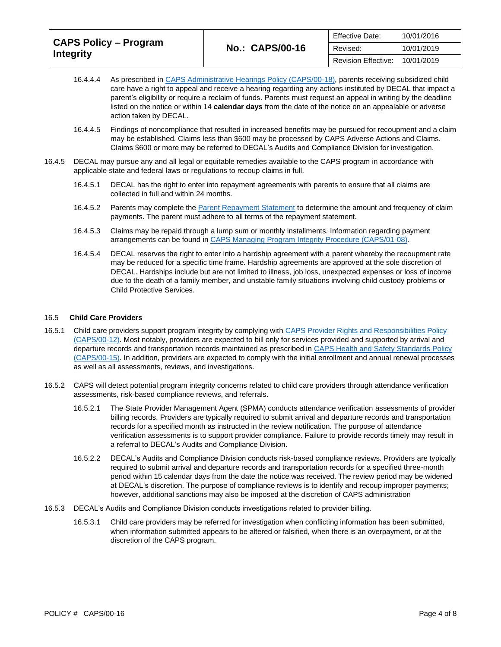| <b>CAPS Policy – Program</b><br><b>Integrity</b> |                        | <b>Effective Date:</b>     | 10/01/2016 |
|--------------------------------------------------|------------------------|----------------------------|------------|
|                                                  | <b>No.: CAPS/00-16</b> | Revised:                   | 10/01/2019 |
|                                                  |                        | <b>Revision Effective:</b> | 10/01/2019 |

- 16.4.4.4 As prescribed in [CAPS Administrative Hearings Policy \(CAPS/00-18\),](https://caps.decal.ga.gov/assets/downloads/CAPS/18-CAPS_Policy-Administrative%20Hearings.pdf) parents receiving subsidized child care have a right to appeal and receive a hearing regarding any actions instituted by DECAL that impact a parent's eligibility or require a reclaim of funds. Parents must request an appeal in writing by the deadline listed on the notice or within 14 **calendar days** from the date of the notice on an appealable or adverse action taken by DECAL.
- 16.4.4.5 Findings of noncompliance that resulted in increased benefits may be pursued for recoupment and a claim may be established. Claims less than \$600 may be processed by CAPS Adverse Actions and Claims. Claims \$600 or more may be referred to DECAL's Audits and Compliance Division for investigation.
- 16.4.5 DECAL may pursue any and all legal or equitable remedies available to the CAPS program in accordance with applicable state and federal laws or regulations to recoup claims in full.
	- 16.4.5.1 DECAL has the right to enter into repayment agreements with parents to ensure that all claims are collected in full and within 24 months.
	- 16.4.5.2 Parents may complete the [Parent Repayment Statement](https://caps.decal.ga.gov/assets/downloads/CAPS/AppendixO-Form%20111C%20Repayment%20Statement%20Parental%20Authority.pdf) to determine the amount and frequency of claim payments. The parent must adhere to all terms of the repayment statement.
	- 16.4.5.3 Claims may be repaid through a lump sum or monthly installments. Information regarding payment arrangements can be found in [CAPS Managing Program Integrity Procedure \(CAPS/01-08\).](https://caps.decal.ga.gov/assets/downloads/CAPS/08-CAPS_Procedures-Managing%20Program%20Integrity.pdf)
	- 16.4.5.4 DECAL reserves the right to enter into a hardship agreement with a parent whereby the recoupment rate may be reduced for a specific time frame. Hardship agreements are approved at the sole discretion of DECAL. Hardships include but are not limited to illness, job loss, unexpected expenses or loss of income due to the death of a family member, and unstable family situations involving child custody problems or Child Protective Services.

#### 16.5 **Child Care Providers**

- 16.5.1 Child care providers support program integrity by complying with CAPS Provider Rights and Responsibilities Policy [\(CAPS/00-12\).](https://caps.decal.ga.gov/assets/downloads/CAPS/12-CAPS_Policy-Child%20Care%20Provider%20Rights%20&%20Responsibilities.pdf) Most notably, providers are expected to bill only for services provided and supported by arrival and departure records and transportation records maintained as prescribed in CAPS Health and Safety Standards Policy [\(CAPS/00-15\).](https://caps.decal.ga.gov/assets/downloads/CAPS/15-CAPS_Policy-Health%20and%20Safety%20Standards.pdf) In addition, providers are expected to comply with the initial enrollment and annual renewal processes as well as all assessments, reviews, and investigations.
- 16.5.2 CAPS will detect potential program integrity concerns related to child care providers through attendance verification assessments, risk-based compliance reviews, and referrals.
	- 16.5.2.1 The State Provider Management Agent (SPMA) conducts attendance verification assessments of provider billing records. Providers are typically required to submit arrival and departure records and transportation records for a specified month as instructed in the review notification. The purpose of attendance verification assessments is to support provider compliance. Failure to provide records timely may result in a referral to DECAL's Audits and Compliance Division.
	- 16.5.2.2 DECAL's Audits and Compliance Division conducts risk-based compliance reviews. Providers are typically required to submit arrival and departure records and transportation records for a specified three-month period within 15 calendar days from the date the notice was received. The review period may be widened at DECAL's discretion. The purpose of compliance reviews is to identify and recoup improper payments; however, additional sanctions may also be imposed at the discretion of CAPS administration
- 16.5.3 DECAL's Audits and Compliance Division conducts investigations related to provider billing.
	- 16.5.3.1 Child care providers may be referred for investigation when conflicting information has been submitted, when information submitted appears to be altered or falsified, when there is an overpayment, or at the discretion of the CAPS program.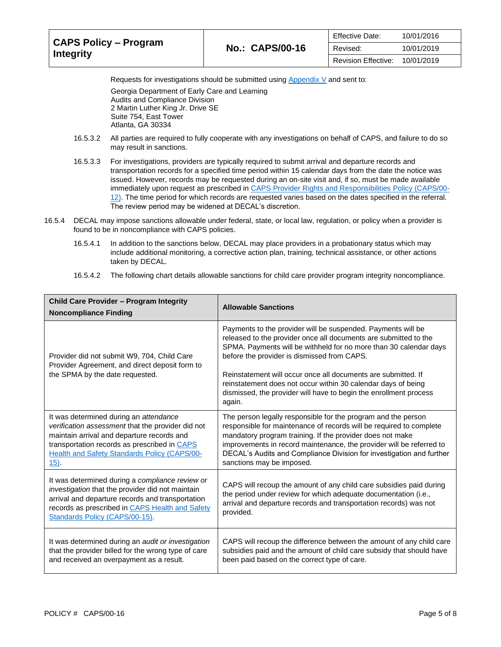| <b>CAPS Policy – Program</b><br>Integrity |                        | <b>Effective Date:</b> | 10/01/2016 |
|-------------------------------------------|------------------------|------------------------|------------|
|                                           | <b>No.: CAPS/00-16</b> | Revised:               | 10/01/2019 |
|                                           |                        | Revision Effective:    | 10/01/2019 |

Requests for investigations should be submitted usin[g Appendix V](https://caps.decal.ga.gov/assets/downloads/CAPS/AppendixV-Form%205667B%20A&C%20Request%20for%20Provider%20Investigation.pdf) and sent to:

Georgia Department of Early Care and Learning Audits and Compliance Division 2 Martin Luther King Jr. Drive SE Suite 754, East Tower Atlanta, GA 30334

- 16.5.3.2 All parties are required to fully cooperate with any investigations on behalf of CAPS, and failure to do so may result in sanctions.
- 16.5.3.3 For investigations, providers are typically required to submit arrival and departure records and transportation records for a specified time period within 15 calendar days from the date the notice was issued. However, records may be requested during an on-site visit and, if so, must be made available immediately upon request as prescribed i[n CAPS Provider Rights and Responsibilities Policy \(CAPS/00-](https://caps.decal.ga.gov/assets/downloads/CAPS/12-CAPS_Policy-Child%20Care%20Provider%20Rights%20&%20Responsibilities.pdf) [12\).](https://caps.decal.ga.gov/assets/downloads/CAPS/12-CAPS_Policy-Child%20Care%20Provider%20Rights%20&%20Responsibilities.pdf) The time period for which records are requested varies based on the dates specified in the referral. The review period may be widened at DECAL's discretion.
- 16.5.4 DECAL may impose sanctions allowable under federal, state, or local law, regulation, or policy when a provider is found to be in noncompliance with CAPS policies.
	- 16.5.4.1 In addition to the sanctions below, DECAL may place providers in a probationary status which may include additional monitoring, a corrective action plan, training, technical assistance, or other actions taken by DECAL.
	- 16.5.4.2 The following chart details allowable sanctions for child care provider program integrity noncompliance.

| <b>Child Care Provider - Program Integrity</b><br><b>Noncompliance Finding</b>                                                                                                                                                                                 | <b>Allowable Sanctions</b>                                                                                                                                                                                                                                                                                                                                                                                                                                            |
|----------------------------------------------------------------------------------------------------------------------------------------------------------------------------------------------------------------------------------------------------------------|-----------------------------------------------------------------------------------------------------------------------------------------------------------------------------------------------------------------------------------------------------------------------------------------------------------------------------------------------------------------------------------------------------------------------------------------------------------------------|
| Provider did not submit W9, 704, Child Care<br>Provider Agreement, and direct deposit form to<br>the SPMA by the date requested.                                                                                                                               | Payments to the provider will be suspended. Payments will be<br>released to the provider once all documents are submitted to the<br>SPMA. Payments will be withheld for no more than 30 calendar days<br>before the provider is dismissed from CAPS.<br>Reinstatement will occur once all documents are submitted. If<br>reinstatement does not occur within 30 calendar days of being<br>dismissed, the provider will have to begin the enrollment process<br>again. |
| It was determined during an attendance<br>verification assessment that the provider did not<br>maintain arrival and departure records and<br>transportation records as prescribed in CAPS<br><b>Health and Safety Standards Policy (CAPS/00-</b><br><u>15)</u> | The person legally responsible for the program and the person<br>responsible for maintenance of records will be required to complete<br>mandatory program training. If the provider does not make<br>improvements in record maintenance, the provider will be referred to<br>DECAL's Audits and Compliance Division for investigation and further<br>sanctions may be imposed.                                                                                        |
| It was determined during a compliance review or<br>investigation that the provider did not maintain<br>arrival and departure records and transportation<br>records as prescribed in CAPS Health and Safety<br>Standards Policy (CAPS/00-15).                   | CAPS will recoup the amount of any child care subsidies paid during<br>the period under review for which adequate documentation (i.e.,<br>arrival and departure records and transportation records) was not<br>provided.                                                                                                                                                                                                                                              |
| It was determined during an audit or investigation<br>that the provider billed for the wrong type of care<br>and received an overpayment as a result.                                                                                                          | CAPS will recoup the difference between the amount of any child care<br>subsidies paid and the amount of child care subsidy that should have<br>been paid based on the correct type of care.                                                                                                                                                                                                                                                                          |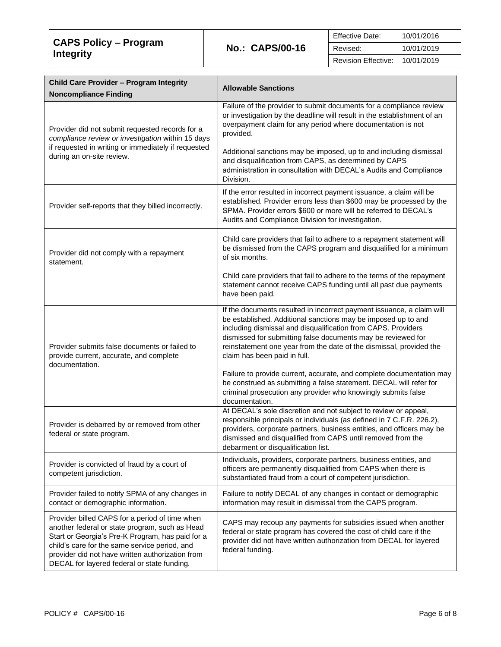| CAPS Policy – Program<br>Integrity |                        | <b>Effective Date:</b> | 10/01/2016 |
|------------------------------------|------------------------|------------------------|------------|
|                                    | <b>No.: CAPS/00-16</b> | Revised:               | 10/01/2019 |
|                                    |                        | Revision Effective:    | 10/01/2019 |

| Child Care Provider - Program Integrity<br><b>Noncompliance Finding</b>                                                                                                                                                                                                                                  | <b>Allowable Sanctions</b>                                                                                                                                                                                                                                                                                                                                                     |
|----------------------------------------------------------------------------------------------------------------------------------------------------------------------------------------------------------------------------------------------------------------------------------------------------------|--------------------------------------------------------------------------------------------------------------------------------------------------------------------------------------------------------------------------------------------------------------------------------------------------------------------------------------------------------------------------------|
| Provider did not submit requested records for a<br>compliance review or investigation within 15 days                                                                                                                                                                                                     | Failure of the provider to submit documents for a compliance review<br>or investigation by the deadline will result in the establishment of an<br>overpayment claim for any period where documentation is not<br>provided.                                                                                                                                                     |
| if requested in writing or immediately if requested<br>during an on-site review.                                                                                                                                                                                                                         | Additional sanctions may be imposed, up to and including dismissal<br>and disqualification from CAPS, as determined by CAPS<br>administration in consultation with DECAL's Audits and Compliance<br>Division.                                                                                                                                                                  |
| Provider self-reports that they billed incorrectly.                                                                                                                                                                                                                                                      | If the error resulted in incorrect payment issuance, a claim will be<br>established. Provider errors less than \$600 may be processed by the<br>SPMA. Provider errors \$600 or more will be referred to DECAL's<br>Audits and Compliance Division for investigation.                                                                                                           |
| Provider did not comply with a repayment<br>statement.                                                                                                                                                                                                                                                   | Child care providers that fail to adhere to a repayment statement will<br>be dismissed from the CAPS program and disqualified for a minimum<br>of six months.                                                                                                                                                                                                                  |
|                                                                                                                                                                                                                                                                                                          | Child care providers that fail to adhere to the terms of the repayment<br>statement cannot receive CAPS funding until all past due payments<br>have been paid.                                                                                                                                                                                                                 |
| Provider submits false documents or failed to<br>provide current, accurate, and complete<br>documentation.                                                                                                                                                                                               | If the documents resulted in incorrect payment issuance, a claim will<br>be established. Additional sanctions may be imposed up to and<br>including dismissal and disqualification from CAPS. Providers<br>dismissed for submitting false documents may be reviewed for<br>reinstatement one year from the date of the dismissal, provided the<br>claim has been paid in full. |
|                                                                                                                                                                                                                                                                                                          | Failure to provide current, accurate, and complete documentation may<br>be construed as submitting a false statement. DECAL will refer for<br>criminal prosecution any provider who knowingly submits false<br>documentation.                                                                                                                                                  |
| Provider is debarred by or removed from other<br>federal or state program.                                                                                                                                                                                                                               | At DECAL's sole discretion and not subject to review or appeal,<br>responsible principals or individuals (as defined in 7 C.F.R. 226.2),<br>providers, corporate partners, business entities, and officers may be<br>dismissed and disqualified from CAPS until removed from the<br>debarment or disqualification list.                                                        |
| Provider is convicted of fraud by a court of<br>competent jurisdiction.                                                                                                                                                                                                                                  | Individuals, providers, corporate partners, business entities, and<br>officers are permanently disqualified from CAPS when there is<br>substantiated fraud from a court of competent jurisdiction.                                                                                                                                                                             |
| Provider failed to notify SPMA of any changes in<br>contact or demographic information.                                                                                                                                                                                                                  | Failure to notify DECAL of any changes in contact or demographic<br>information may result in dismissal from the CAPS program.                                                                                                                                                                                                                                                 |
| Provider billed CAPS for a period of time when<br>another federal or state program, such as Head<br>Start or Georgia's Pre-K Program, has paid for a<br>child's care for the same service period, and<br>provider did not have written authorization from<br>DECAL for layered federal or state funding. | CAPS may recoup any payments for subsidies issued when another<br>federal or state program has covered the cost of child care if the<br>provider did not have written authorization from DECAL for layered<br>federal funding.                                                                                                                                                 |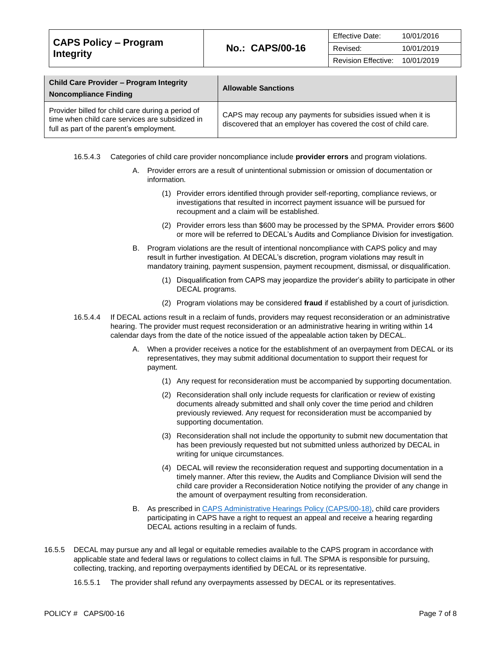| <b>CAPS Policy – Program</b><br><b>Integrity</b>                                                                                                     |                                                                                                                                 | <b>Effective Date:</b>     | 10/01/2016 |
|------------------------------------------------------------------------------------------------------------------------------------------------------|---------------------------------------------------------------------------------------------------------------------------------|----------------------------|------------|
|                                                                                                                                                      | <b>No.: CAPS/00-16</b>                                                                                                          | Revised:                   | 10/01/2019 |
|                                                                                                                                                      |                                                                                                                                 | <b>Revision Effective:</b> | 10/01/2019 |
|                                                                                                                                                      |                                                                                                                                 |                            |            |
| <b>Child Care Provider - Program Integrity</b><br><b>Noncompliance Finding</b>                                                                       | <b>Allowable Sanctions</b>                                                                                                      |                            |            |
| Provider billed for child care during a period of<br>time when child care services are subsidized in<br>full no montref that monomatic consideration | CAPS may recoup any payments for subsidies issued when it is<br>discovered that an employer has covered the cost of child care. |                            |            |

16.5.4.3 Categories of child care provider noncompliance include **provider errors** and program violations.

- A. Provider errors are a result of unintentional submission or omission of documentation or information.
	- (1) Provider errors identified through provider self-reporting, compliance reviews, or investigations that resulted in incorrect payment issuance will be pursued for recoupment and a claim will be established.
	- (2) Provider errors less than \$600 may be processed by the SPMA. Provider errors \$600 or more will be referred to DECAL's Audits and Compliance Division for investigation.
- B. Program violations are the result of intentional noncompliance with CAPS policy and may result in further investigation. At DECAL's discretion, program violations may result in mandatory training, payment suspension, payment recoupment, dismissal, or disqualification.
	- (1) Disqualification from CAPS may jeopardize the provider's ability to participate in other DECAL programs.
	- (2) Program violations may be considered **fraud** if established by a court of jurisdiction.
- 16.5.4.4 If DECAL actions result in a reclaim of funds, providers may request reconsideration or an administrative hearing. The provider must request reconsideration or an administrative hearing in writing within 14 calendar days from the date of the notice issued of the appealable action taken by DECAL.
	- A. When a provider receives a notice for the establishment of an overpayment from DECAL or its representatives, they may submit additional documentation to support their request for payment.
		- (1) Any request for reconsideration must be accompanied by supporting documentation.
		- (2) Reconsideration shall only include requests for clarification or review of existing documents already submitted and shall only cover the time period and children previously reviewed. Any request for reconsideration must be accompanied by supporting documentation.
		- (3) Reconsideration shall not include the opportunity to submit new documentation that has been previously requested but not submitted unless authorized by DECAL in writing for unique circumstances.
		- (4) DECAL will review the reconsideration request and supporting documentation in a timely manner. After this review, the Audits and Compliance Division will send the child care provider a Reconsideration Notice notifying the provider of any change in the amount of overpayment resulting from reconsideration.
	- B. As prescribed in [CAPS Administrative Hearings Policy \(CAPS/00-18\),](https://caps.decal.ga.gov/assets/downloads/CAPS/18-CAPS_Policy-Administrative%20Hearings.pdf) child care providers participating in CAPS have a right to request an appeal and receive a hearing regarding DECAL actions resulting in a reclaim of funds.
- 16.5.5 DECAL may pursue any and all legal or equitable remedies available to the CAPS program in accordance with applicable state and federal laws or regulations to collect claims in full. The SPMA is responsible for pursuing, collecting, tracking, and reporting overpayments identified by DECAL or its representative.
	- 16.5.5.1 The provider shall refund any overpayments assessed by DECAL or its representatives.

full as part of the parent's employment.